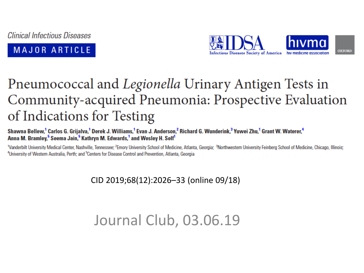**Clinical Infectious Diseases** 





## Pneumococcal and *Legionella* Urinary Antigen Tests in Community-acquired Pneumonia: Prospective Evaluation of Indications for Testing

Shawna Bellew,<sup>1</sup> Carlos G. Grijalva,<sup>1</sup> Derek J. Williams,<sup>1</sup> Evan J. Anderson,<sup>2</sup> Richard G. Wunderink,<sup>3</sup> Yuwei Zhu,<sup>1</sup> Grant W. Waterer,<sup>4</sup> Anna M. Bramley,<sup>5</sup> Seema Jain,<sup>5</sup> Kathryn M. Edwards,<sup>1</sup> and Wesley H. Self<sup>1</sup>

<sup>1</sup>Vanderbilt University Medical Center, Nashville, Tennessee; <sup>2</sup>Emory University School of Medicine, Atlanta, Georgia; <sup>3</sup>Northwestern University Feinberg School of Medicine, Chicago, Illinois; <sup>4</sup>University of Western Australia, Perth; and <sup>5</sup>Centers for Disease Control and Prevention, Atlanta, Georgia

#### CID 2019;68(12):2026–33 (online 09/18)

## Journal Club, 03.06.19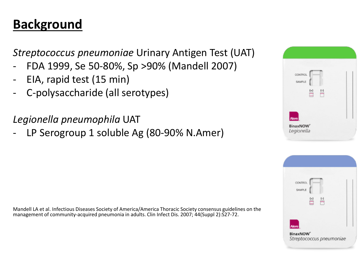### **Background**

*Streptococcus pneumoniae* Urinary Antigen Test (UAT)

- FDA 1999, Se 50-80%, Sp >90% (Mandell 2007)
- EIA, rapid test (15 min)
- C-polysaccharide (all serotypes)

*Legionella pneumophila* UAT

LP Serogroup 1 soluble Ag (80-90% N.Amer)

Mandell LA et al. Infectious Diseases Society of America/America Thoracic Society consensus guidelines on the management of community-acquired pneumonia in adults. Clin Infect Dis. 2007; 44(Suppl 2):S27-72.



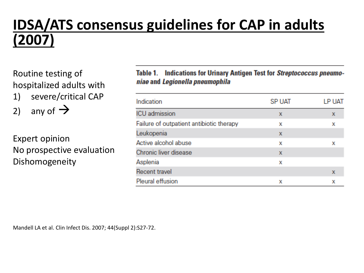## **IDSA/ATS consensus guidelines for CAP in adults (2007)**

Routine testing of hospitalized adults with

1) severe/critical CAP

2) any of  $\rightarrow$ 

Expert opinion No prospective evaluation Dishomogeneity

#### **Indications for Urinary Antigen Test for Streptococcus pneumo-**Table 1. niae and Legionella pneumophila

| Indication                               | <b>SP UAT</b> | LP UAT |
|------------------------------------------|---------------|--------|
| <b>ICU</b> admission                     | x             | х      |
| Failure of outpatient antibiotic therapy | x             | х      |
| Leukopenia                               | x             |        |
| Active alcohol abuse                     | x             | x      |
| Chronic liver disease                    | x             |        |
| Asplenia                                 | x             |        |
| <b>Recent travel</b>                     |               | х      |
| Pleural effusion                         | x             | x      |

Mandell LA et al. Clin Infect Dis. 2007; 44(Suppl 2):S27-72.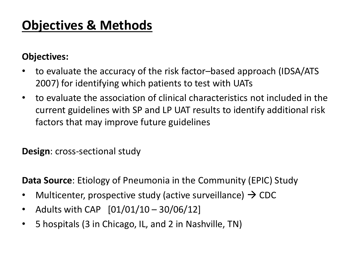### **Objectives & Methods**

#### **Objectives:**

- to evaluate the accuracy of the risk factor–based approach (IDSA/ATS 2007) for identifying which patients to test with UATs
- to evaluate the association of clinical characteristics not included in the current guidelines with SP and LP UAT results to identify additional risk factors that may improve future guidelines

**Design**: cross-sectional study

**Data Source**: Etiology of Pneumonia in the Community (EPIC) Study

- Multicenter, prospective study (active surveillance)  $\rightarrow$  CDC
- Adults with CAP [01/01/10 30/06/12]
- 5 hospitals (3 in Chicago, IL, and 2 in Nashville, TN)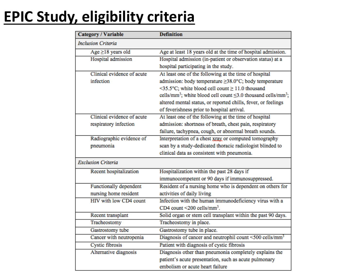# **EPIC Study, eligibility criteria**

| <b>Category / Variable</b> | <b>Definition</b>                                                                          |
|----------------------------|--------------------------------------------------------------------------------------------|
| <b>Inclusion Criteria</b>  |                                                                                            |
| $Age \geq 18$ years old    | Age at least 18 years old at the time of hospital admission.                               |
| Hospital admission         | Hospital admission (in-patient or observation status) at a                                 |
|                            | hospital participating in the study.                                                       |
| Clinical evidence of acute | At least one of the following at the time of hospital                                      |
| infection                  | admission: body temperature ≥38.0°C; body temperature                                      |
|                            | <35.5°C; white blood cell count ≥ 11.0 thousand                                            |
|                            | cells/mm <sup>3</sup> ; white blood cell count $\leq$ 3.0 thousand cells/mm <sup>3</sup> ; |
|                            | altered mental status, or reported chills, fever, or feelings                              |
|                            | of feverishness prior to hospital arrival.                                                 |
| Clinical evidence of acute | At least one of the following at the time of hospital                                      |
| respiratory infection      | admission: shortness of breath, chest pain, respiratory                                    |
|                            | failure, tachypnea, cough, or abnormal breath sounds.                                      |
| Radiographic evidence of   | Interpretation of a chest xray or computed tomography                                      |
| pneumonia                  | scan by a study-dedicated thoracic radiologist blinded to                                  |
|                            | clinical data as consistent with pneumonia.                                                |
| <b>Exclusion Criteria</b>  |                                                                                            |
| Recent hospitalization     | Hospitalization within the past 28 days if                                                 |
|                            | immunocompetent or 90 days if immunosuppressed.                                            |
| Functionally dependent     | Resident of a nursing home who is dependent on others for                                  |
| nursing home resident      | activities of daily living                                                                 |
| HIV with low CD4 count     | Infection with the human immunodeficiency virus with a                                     |
|                            | CD4 count <200 cells/mm <sup>3</sup> .                                                     |
| Recent transplant          | Solid organ or stem cell transplant within the past 90 days.                               |
| Tracheostomy               | Tracheostomy in place.                                                                     |
| Gastrostomy tube           | Gastrostomy tube in place.                                                                 |
| Cancer with neutropenia    | Diagnosis of cancer and neutrophil count <500 cells/mm <sup>3</sup>                        |
| <b>Cystic fibrosis</b>     | Patient with diagnosis of cystic fibrosis                                                  |
| Alternative diagnosis      | Diagnosis other than pneumonia completely explains the                                     |
|                            | patient's acute presentation, such as acute pulmonary                                      |
|                            | embolism or acute heart failure                                                            |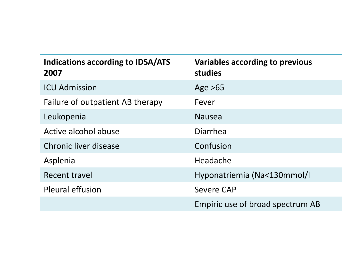| <b>Indications according to IDSA/ATS</b><br>2007 | <b>Variables according to previous</b><br>studies |
|--------------------------------------------------|---------------------------------------------------|
| <b>ICU Admission</b>                             | Age $>65$                                         |
| Failure of outpatient AB therapy                 | Fever                                             |
| Leukopenia                                       | <b>Nausea</b>                                     |
| Active alcohol abuse                             | Diarrhea                                          |
| Chronic liver disease                            | Confusion                                         |
| Asplenia                                         | Headache                                          |
| Recent travel                                    | Hyponatriemia (Na<130mmol/l                       |
| <b>Pleural effusion</b>                          | <b>Severe CAP</b>                                 |
|                                                  | Empiric use of broad spectrum AB                  |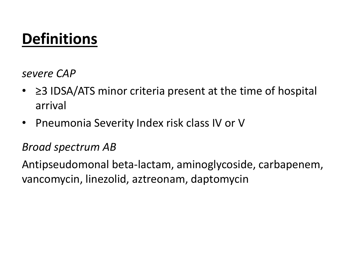## **Definitions**

*severe CAP*

- ≥3 IDSA/ATS minor criteria present at the time of hospital arrival
- Pneumonia Severity Index risk class IV or V

### *Broad spectrum AB*

Antipseudomonal beta-lactam, aminoglycoside, carbapenem, vancomycin, linezolid, aztreonam, daptomycin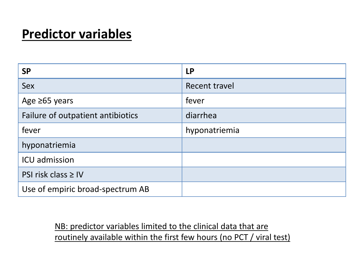### **Predictor variables**

| <b>SP</b>                         | <b>LP</b>     |
|-----------------------------------|---------------|
| Sex                               | Recent travel |
| Age $\geq 65$ years               | fever         |
| Failure of outpatient antibiotics | diarrhea      |
| fever                             | hyponatriemia |
| hyponatriemia                     |               |
| <b>ICU</b> admission              |               |
| PSI risk class $\geq$ IV          |               |
| Use of empiric broad-spectrum AB  |               |

#### NB: predictor variables limited to the clinical data that are routinely available within the first few hours (no PCT / viral test)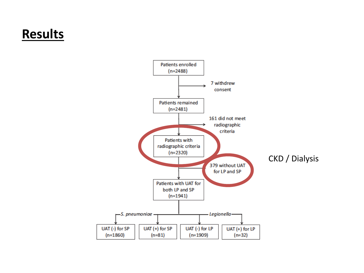### **Results**

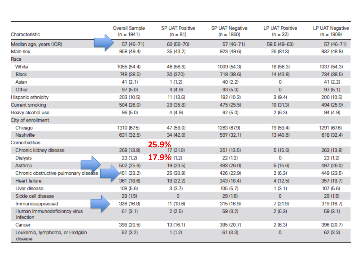| Characteristic                            | Overall Sample<br>$(n = 1941)$ | <b>SP UAT Positive</b><br>$(n = 81)$ | SP UAT Negative<br>$(n = 1860)$ | <b>LP UAT Positive</b><br>$(n = 32)$ | LP UAT Negative<br>$(n = 1909)$ |
|-------------------------------------------|--------------------------------|--------------------------------------|---------------------------------|--------------------------------------|---------------------------------|
| Median age, years (IQR)                   | 57 (46-71)                     | 60 (50-70)                           | 57 (46-71)                      | 58.5 (49-63)                         | 57 (46-71)                      |
| Male sex                                  | 958 (49.4)                     | 35 (43.2)                            | 923 (49.6)                      | 26 (81.3)                            | 932 (48.8)                      |
| Race                                      |                                |                                      |                                 |                                      |                                 |
| White                                     | 1055 (54.4)                    | 46 (56.8)                            | 1009 (54.3)                     | 18 (56.3)                            | 1037 (54.3)                     |
| <b>Black</b>                              | 748 (38.5)                     | 30 (37.0)                            | 718 (38.6)                      | 14 (43.8)                            | 734 (38.5)                      |
| Asian                                     | 41 (2.1)                       | 1(1.2)                               | 40 (2.2)                        | 0                                    | 41 (2.2)                        |
| Other                                     | 97(5.0)                        | 4(4.9)                               | 93(5.0)                         | $\mathbf{0}$                         | 97(5.1)                         |
| Hispanic ethnicity                        | 203 (10.5)                     | 11 (13.6)                            | 192 (10.3)                      | 3(9.4)                               | 200 (10.5)                      |
| Current smoking                           | 504 (26.0)                     | 29 (35.8)                            | 475 (25.5)                      | 10(31.3)                             | 494 (25.9)                      |
| Heavy alcohol use                         | 96 (5.0)                       | 4 (4.9)                              | 92 (5.0)                        | 2(6.3)                               | 94 (4.9)                        |
| City of enrollment                        |                                |                                      |                                 |                                      |                                 |
| Chicago                                   | 1310 (67.5)                    | 47 (58.0)                            | 1263 (67.9)                     | 19 (59.4)                            | 1291 (67.6)                     |
| Nashville                                 | 631 (32.5)                     | 34 (42.0)                            | 597 (32.1)                      | 13 (40.6)                            | 618 (32.4)                      |
| Comorbidities                             |                                | 25.9%                                |                                 |                                      |                                 |
| Chronic kidney disease                    | 268 (13.8)                     | 17 (21.0)                            | 251 (13.5)                      | 5(15.6)                              | 263 (13.8)                      |
| Dialysis                                  | 23 (1.2)                       | 17.9% (1.2)                          | 22 (1.2)                        | 0                                    | 23 (1.2)                        |
| Asthma                                    | 502 (25.9)                     | 19 (23.5)                            | 483 (26.0)                      | 5(15.6)                              | 497 (26.0)                      |
| Chronic obstructive pulmonary disease     | 451 (23.2)                     | 25 (30.9)                            | 426 (22.9)                      | 2(6.3)                               | 449 (23.5)                      |
| Heart failure                             | 361 (18.6)                     | 18 (22.2)                            | 343 (18.4)                      | 4(12.5)                              | 357 (18.7)                      |
| Liver disease                             | 108 (5.6)                      | 3(3.7)                               | 105(5.7)                        | 1(3.1)                               | 107 (5.6)                       |
| Sickle cell disease                       | 29(1.5)                        | $\mathbf{0}$                         | 29(1.6)                         | $\bf{0}$                             | 29(1.5)                         |
| Immunosuppressed                          | 326 (16.8)                     | 11 (13.6)                            | 315 (16.9)                      | 7(21.9)                              | 319 (16.7)                      |
| Human immunodeficiency virus<br>infection | 61(3.1)                        | 2(2.5)                               | 59 (3.2)                        | 2(6.3)                               | 59(3.1)                         |
| Cancer                                    | 398 (20.5)                     | 13(16.1)                             | 385 (20.7)                      | 2(6.3)                               | 396 (20.7)                      |
| Leukemia, lymphoma, or Hodgkin<br>disease | 62(3.2)                        | 1(1.2)                               | 61(3.3)                         | 0                                    | 62(3.3)                         |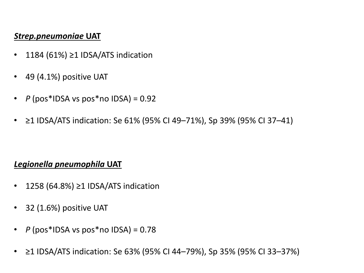#### *Strep.pneumoniae* **UAT**

- 1184 (61%) ≥1 IDSA/ATS indication
- 49 (4.1%) positive UAT
- *P* (pos\*IDSA vs pos\*no IDSA) = 0.92
- ≥1 IDSA/ATS indication: Se 61% (95% CI 49–71%), Sp 39% (95% CI 37–41)

#### *Legionella pneumophila* **UAT**

- 1258 (64.8%) ≥1 IDSA/ATS indication
- 32 (1.6%) positive UAT
- *P* (pos\*IDSA vs pos\*no IDSA) = 0.78
- ≥1 IDSA/ATS indication: Se 63% (95% CI 44–79%), Sp 35% (95% CI 33–37%)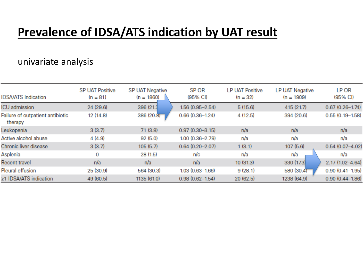### **Prevalence of IDSA/ATS indication by UAT result**

#### univariate analysis

| <b>IDSA/ATS Indication</b>                  | <b>SP UAT Positive</b><br>$(n = 81)$ | <b>SP UAT Negative</b><br>$(n = 1860)$ | SP OR<br>(95% CI)   | <b>LP UAT Positive</b><br>$(n = 32)$ | <b>LP UAT Negative</b><br>$(n = 1909)$ | LP OR<br>(95% CI)   |
|---------------------------------------------|--------------------------------------|----------------------------------------|---------------------|--------------------------------------|----------------------------------------|---------------------|
| ICU admission                               | 24 (29.6)                            | 396 (21.3)                             | $1.56(0.95 - 2.54)$ | 5(15.6)                              | 415 (21.7)                             | $0.67(0.26 - 1.74)$ |
| Failure of outpatient antibiotic<br>therapy | 12 (14.8)                            | 386(20.8)                              | $0.66(0.36 - 1.24)$ | 4(12.5)                              | 394 (20.6)                             | $0.55(0.19 - 1.58)$ |
| Leukopenia                                  | 3(3.7)                               | 71(3.8)                                | $0.97(0.30 - 3.15)$ | n/a                                  | n/a                                    | n/a                 |
| Active alcohol abuse                        | 4(4.9)                               | 92 (5.0)                               | 1.00 (0.36-2.79)    | n/a                                  | n/a                                    | n/a                 |
| Chronic liver disease                       | 3(3.7)                               | 105(5.7)                               | $0.64(0.20 - 2.07)$ | 1(3.1)                               | 107(5.6)                               | $0.54(0.07 - 4.02)$ |
| Asplenia                                    | 0                                    | 28 (1.5)                               | n/c                 | n/a                                  | n/a                                    | n/a                 |
| Recent travel                               | n/a                                  | n/a                                    | n/a                 | 10(31.3)                             | 330 (17.3)                             | 2.17 (1.02-4.64)    |
| Pleural effusion                            | 25 (30.9)                            | 564 (30.3)                             | $1.03(0.63 - 1.66)$ | 9(28.1)                              | 580 (30.4)                             | $0.90(0.41 - 1.95)$ |
| ≥1 IDSA/ATS indication                      | 49 (60.5)                            | 1135 (61.0)                            | $0.98(0.62 - 1.54)$ | 20 (62.5)                            | 1238 (64.9)                            | $0.90(0.44 - 1.86)$ |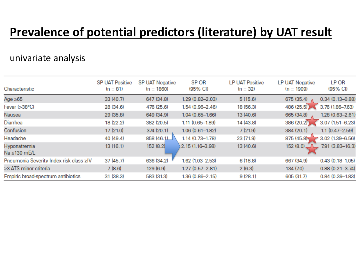### **Prevalence of potential predictors (literature) by UAT result**

#### univariate analysis

| Characteristic                          | <b>SP UAT Positive</b><br>$(n = 81)$ | <b>SP UAT Negative</b><br>$(n = 1860)$ | SP OR<br>(95% CI)   | <b>LP UAT Positive</b><br>$(n = 32)$ | <b>LP UAT Negative</b><br>$(n = 1909)$ | LP OR<br>(95% CI)   |
|-----------------------------------------|--------------------------------------|----------------------------------------|---------------------|--------------------------------------|----------------------------------------|---------------------|
| Age $\geq 65$                           | 33(40.7)                             | 647 (34.8)                             | 1.29 (0.82-2.03)    | 5(15.6)                              | 675 (35.4)                             | $0.34(0.13 - 0.88)$ |
| Fever (>38°C)                           | 28 (34.6)                            | 476 (25.6)                             | 1.54 (0.96-2.46)    | 18 (56.3)                            | 486 (25.5)                             | 3.76 (1.86-7.63)    |
| Nausea                                  | 29(35.8)                             | 649 (34.9)                             | $1.04(0.65 - 1.66)$ | 13 (40.6)                            | 665 (34.8)                             | 1.28 (0.63-2.61)    |
| Diarrhea                                | 18 (22.2)                            | 382 (20.5)                             | 1.11 (0.65-1.89)    | 14 (43.8)                            | 386 (20.2)                             | $3.07(1.51 - 6.23)$ |
| Confusion                               | 17 (21.0)                            | 374 (20.1)                             | $1.06(0.61 - 1.82)$ | 7(21.9)                              | 384 (20.1)                             | $1.1 (0.47 - 2.59)$ |
| Headache                                | 40 (49.4)                            | 858(46.1)                              | 1.14 (0.73-1.78)    | 23 (71.9)                            | 875 (45.8)                             | 3.02 (1.39-6.56)    |
| Hyponatremia<br>Na ≤130 mE/L            | 13(16.1)                             | 152 (8.2)                              | 2.15 (1.16-3.98)    | 13 (40.6)                            | 152 (8.0).                             | 7.91 (3.83-16.3)    |
| Pneumonia Severity Index risk class >IV | 37(45.7)                             | 636 (34.2)                             | 1.62 (1.03-2.53)    | 6(18.8)                              | 667 (34.9)                             | $0.43(0.18 - 1.05)$ |
| ≥3 ATS minor criteria                   | 7(8.6)                               | 129 (6.9)                              | $1.27(0.57 - 2.81)$ | 2(6.3)                               | 134 (7.0)                              | $0.88(0.21 - 3.74)$ |
| Empiric broad-spectrum antibiotics      | 31 (38.3)                            | 583 (31.3)                             | 1.36 (0.86-2.15)    | 9(28.1)                              | 605 (31.7)                             | $0.84(0.39 - 1.83)$ |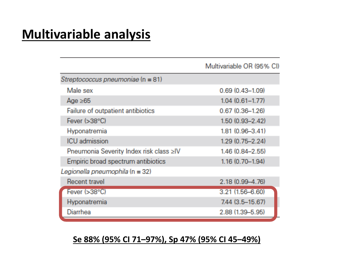### **Multivariable analysis**

|                                         | Multivariable OR (95% CI) |
|-----------------------------------------|---------------------------|
| Streptococcus pneumoniae (n = 81)       |                           |
| Male sex                                | $0.69(0.43 - 1.09)$       |
| Age ≥65                                 | $1.04(0.61 - 1.77)$       |
| Failure of outpatient antibiotics       | $0.67(0.36 - 1.26)$       |
| Fever $( >38°C)$                        | $1.50(0.93 - 2.42)$       |
| Hyponatremia                            | 1.81 (0.96-3.41)          |
| <b>ICU</b> admission                    | $1.29(0.75 - 2.24)$       |
| Pneumonia Severity Index risk class >IV | 1.46 (0.84-2.55)          |
| Empiric broad spectrum antibiotics      | 1.16 (0.70-1.94)          |
| Legionella pneumophila (n = 32)         |                           |
| Recent travel                           | 2.18 (0.99-4.76)          |
| Fever $( >38°C)$                        | 3.21 (1.56-6.60)          |
| Hyponatremia                            | 7.44 (3.5-15.67)          |
| Diarrhea                                | 2.88 (1.39-5.95)          |

#### **Se 88% (95% CI 71–97%), Sp 47% (95% CI 45–49%)**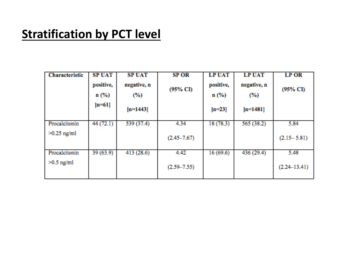### **Stratification by PCT level**

| <b>Characteristic</b> | <b>SP UAT</b><br>positive,<br>$n$ (%)<br>$[n=61]$ | <b>SPUAT</b><br>negative, n<br>(%) | <b>SP OR</b><br>(95% CI) | <b>LP UAT</b><br>positive,<br>$n$ (%) | <b>LP UAT</b><br>negative, n<br>(%) | <b>LP OR</b><br>(95% CI) |
|-----------------------|---------------------------------------------------|------------------------------------|--------------------------|---------------------------------------|-------------------------------------|--------------------------|
|                       |                                                   | $[n=1443]$                         |                          | $[n=23]$                              | $[n=1481]$                          |                          |
| Procalcitonin         | 44 (72.1)                                         | 539 (37.4)                         | 4.34                     | 18(78.3)                              | 565 (38.2)                          | 5.84                     |
| $>0.25$ ng/ml         |                                                   |                                    | $(2.45 - 7.67)$          |                                       |                                     | $(2.15 - 5.81)$          |
| Procalcitonin         | 39(63.9)                                          | 413(28.6)                          | 4.42                     | 16(69.6)                              | 436 (29.4)                          | 5.48                     |
| $>0.5$ ng/ml          |                                                   |                                    | $(2.59 - 7.55)$          |                                       |                                     | $(2.24 - 13.41)$         |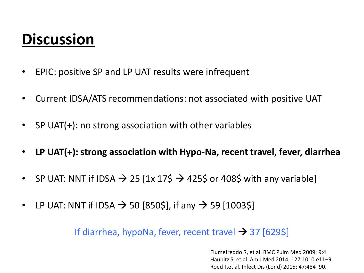## **Discussion**

- EPIC: positive SP and LP UAT results were infrequent
- Current IDSA/ATS recommendations: not associated with positive UAT
- SP UAT(+): no strong association with other variables
- **LP UAT(+): strong association with Hypo-Na, recent travel, fever, diarrhea**
- SP UAT: NNT if IDSA  $\rightarrow$  25 [1x 17\$  $\rightarrow$  425\$ or 408\$ with any variable]
- LP UAT: NNT if IDSA  $\rightarrow$  50 [850\$], if any  $\rightarrow$  59 [1003\$]

If diarrhea, hypoNa, fever, recent travel  $\rightarrow$  37 [629\$]

Fiumefreddo R, et al. BMC Pulm Med 2009; 9:4. Haubitz S, et al. Am J Med 2014; 127:1010.e11–9. Roed T,et al. Infect Dis (Lond) 2015; 47:484–90.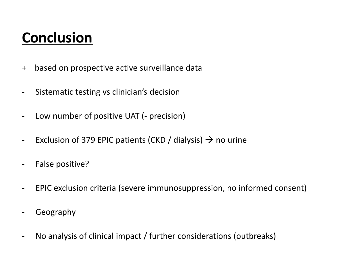## **Conclusion**

- + based on prospective active surveillance data
- Sistematic testing vs clinician's decision
- Low number of positive UAT (- precision)
- Exclusion of 379 EPIC patients (CKD / dialysis)  $\rightarrow$  no urine
- False positive?
- EPIC exclusion criteria (severe immunosuppression, no informed consent)
- Geography
- No analysis of clinical impact / further considerations (outbreaks)